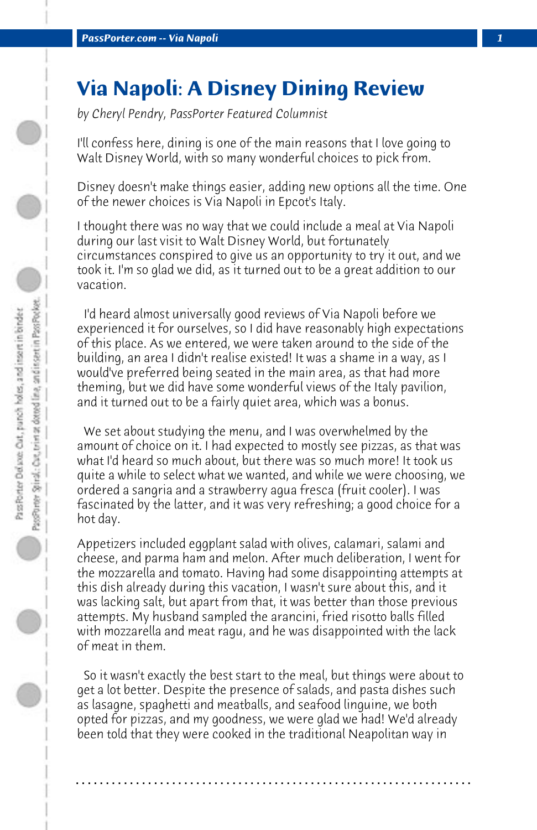## **Via Napoli: A Disney Dining Review**

*by Cheryl Pendry, PassPorter Featured Columnist*

I'll confess here, dining is one of the main reasons that I love going to Walt Disney World, with so many wonderful choices to pick from.

Disney doesn't make things easier, adding new options all the time. One of the newer choices is Via Napoli in Epcot's Italy.

I thought there was no way that we could include a meal at Via Napoli during our last visit to Walt Disney World, but fortunately circumstances conspired to give us an opportunity to try it out, and we took it. I'm so glad we did, as it turned out to be a great addition to our vacation.

 I'd heard almost universally good reviews of Via Napoli before we experienced it for ourselves, so I did have reasonably high expectations of this place. As we entered, we were taken around to the side of the building, an area I didn't realise existed! It was a shame in a way, as I would've preferred being seated in the main area, as that had more theming, but we did have some wonderful views of the Italy pavilion, and it turned out to be a fairly quiet area, which was a bonus.

 We set about studying the menu, and I was overwhelmed by the amount of choice on it. I had expected to mostly see pizzas, as that was what I'd heard so much about, but there was so much more! It took us quite a while to select what we wanted, and while we were choosing, we ordered a sangria and a strawberry agua fresca (fruit cooler). I was fascinated by the latter, and it was very refreshing; a good choice for a hot day.

Appetizers included eggplant salad with olives, calamari, salami and cheese, and parma ham and melon. After much deliberation, I went for the mozzarella and tomato. Having had some disappointing attempts at this dish already during this vacation, I wasn't sure about this, and it was lacking salt, but apart from that, it was better than those previous attempts. My husband sampled the arancini, fried risotto balls filled with mozzarella and meat ragu, and he was disappointed with the lack of meat in them.

 So it wasn't exactly the best start to the meal, but things were about to get a lot better. Despite the presence of salads, and pasta dishes such as lasagne, spaghetti and meatballs, and seafood linguine, we both opted for pizzas, and my goodness, we were glad we had! We'd already been told that they were cooked in the traditional Neapolitan way in

**. . . . . . . . . . . . . . . . . . . . . . . . . . . . . . . . . . . . . . . . . . . . . . . . . . . . . . . . . . . . . . . . . .**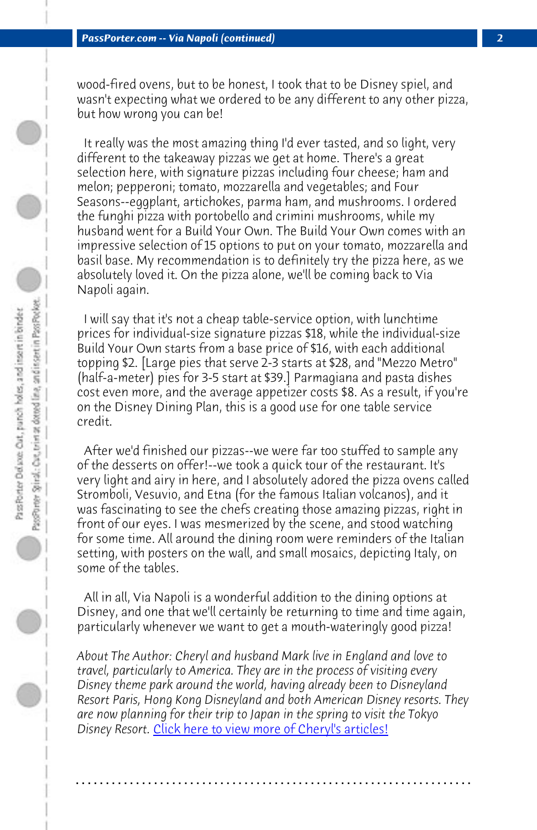*PassPorter.com -- Via Napoli (continued) 2*

wood-fired ovens, but to be honest, I took that to be Disney spiel, and wasn't expecting what we ordered to be any different to any other pizza, but how wrong you can be!

 It really was the most amazing thing I'd ever tasted, and so light, very different to the takeaway pizzas we get at home. There's a great selection here, with signature pizzas including four cheese; ham and melon; pepperoni; tomato, mozzarella and vegetables; and Four Seasons--eggplant, artichokes, parma ham, and mushrooms. I ordered the funghi pizza with portobello and crimini mushrooms, while my husband went for a Build Your Own. The Build Your Own comes with an impressive selection of 15 options to put on your tomato, mozzarella and basil base. My recommendation is to definitely try the pizza here, as we absolutely loved it. On the pizza alone, we'll be coming back to Via Napoli again.

 I will say that it's not a cheap table-service option, with lunchtime prices for individual-size signature pizzas \$18, while the individual-size Build Your Own starts from a base price of \$16, with each additional topping \$2. [Large pies that serve 2-3 starts at \$28, and "Mezzo Metro" (half-a-meter) pies for 3-5 start at \$39.] Parmagiana and pasta dishes cost even more, and the average appetizer costs \$8. As a result, if you're on the Disney Dining Plan, this is a good use for one table service credit.

 After we'd finished our pizzas--we were far too stuffed to sample any of the desserts on offer!--we took a quick tour of the restaurant. It's very light and [airy in here, and I absolutely adored the pizz](http://www.passporter.com/articles/cheryl-pendry-featured-columnist.asp)a ovens called Stromboli, Vesuvio, and Etna (for the famous Italian volcanos), and it was fascinating to see the chefs creating those amazing pizzas, right in front of our eyes. I was mesmerized by the scene, and stood watching for some time. All around the dining room were reminders of the Italian setting, with posters on the wall, and small mosaics, depicting Italy, on some of the tables.

 All in all, Via Napoli is a wonderful addition to the dining options at Disney, and one that we'll certainly be returning to time and time again, particularly whenever we want to get a mouth-wateringly good pizza!

*About The Author: Cheryl and husband Mark live in England and love to travel, particularly to America. They are in the process of visiting every Disney theme park around the world, having already been to Disneyland Resort Paris, Hong Kong Disneyland and both American Disney resorts. They are now planning for their trip to Japan in the spring to visit the Tokyo Disney Resort.* Click here to view more of Cheryl's articles!

**. . . . . . . . . . . . . . . . . . . . . . . . . . . . . . . . . . . . . . . . . . . . . . . . . . . . . . . . . . . . . . . . . .**